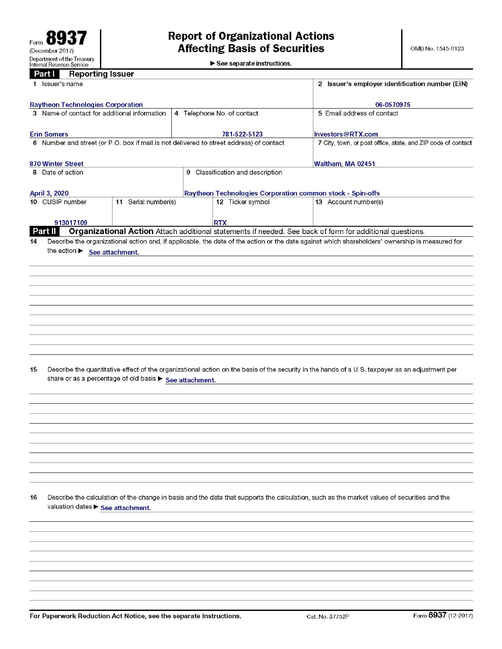$\blacktriangleright$  See separate instructions.

| ган<br><b>Reporting issuer</b>                                                          |                                                            |                                                                                                                                                 |  |  |
|-----------------------------------------------------------------------------------------|------------------------------------------------------------|-------------------------------------------------------------------------------------------------------------------------------------------------|--|--|
| 1 Issuer's name                                                                         | 2 Issuer's employer identification number (EIN)            |                                                                                                                                                 |  |  |
| <b>Raytheon Technologies Corporation</b>                                                |                                                            | 06-0570975                                                                                                                                      |  |  |
| 3 Name of contact for additional information                                            | 4 Telephone No. of contact                                 | 5 Email address of contact                                                                                                                      |  |  |
|                                                                                         |                                                            |                                                                                                                                                 |  |  |
| <b>Erin Somers</b>                                                                      | 781-522-5123                                               | Investors@RTX.com                                                                                                                               |  |  |
| 6 Number and street (or P.O. box if mail is not delivered to street address) of contact |                                                            | 7 City, town, or post office, state, and ZIP code of contact                                                                                    |  |  |
|                                                                                         |                                                            |                                                                                                                                                 |  |  |
| 870 Winter Street                                                                       |                                                            | Waltham, MA 02451                                                                                                                               |  |  |
| 8 Date of action                                                                        | 9 Classification and description                           |                                                                                                                                                 |  |  |
|                                                                                         |                                                            |                                                                                                                                                 |  |  |
| <b>April 3, 2020</b>                                                                    | Raytheon Technologies Corporation common stock - Spin-offs |                                                                                                                                                 |  |  |
| 11 Serial number(s)<br>10 CUSIP number                                                  | 12 Ticker symbol                                           | 13 Account number(s)                                                                                                                            |  |  |
| 913017109                                                                               | <b>RTX</b>                                                 |                                                                                                                                                 |  |  |
| Part II                                                                                 |                                                            | Organizational Action Attach additional statements if needed. See back of form for additional questions.                                        |  |  |
| 14                                                                                      |                                                            | Describe the organizational action and, if applicable, the date of the action or the date against which shareholders' ownership is measured for |  |  |
|                                                                                         |                                                            |                                                                                                                                                 |  |  |
| 15<br>share or as a percentage of old basis > See attachment.                           |                                                            | Describe the quantitative effect of the organizational action on the basis of the security in the hands of a U.S. taxpayer as an adjustment per |  |  |
|                                                                                         |                                                            |                                                                                                                                                 |  |  |
|                                                                                         |                                                            |                                                                                                                                                 |  |  |
|                                                                                         |                                                            |                                                                                                                                                 |  |  |
| 16<br>valuation dates ▶ See attachment.                                                 |                                                            | Describe the calculation of the change in basis and the data that supports the calculation, such as the market values of securities and the     |  |  |
|                                                                                         |                                                            |                                                                                                                                                 |  |  |
|                                                                                         |                                                            |                                                                                                                                                 |  |  |
|                                                                                         |                                                            |                                                                                                                                                 |  |  |
|                                                                                         |                                                            |                                                                                                                                                 |  |  |
|                                                                                         |                                                            |                                                                                                                                                 |  |  |
|                                                                                         |                                                            |                                                                                                                                                 |  |  |
|                                                                                         |                                                            |                                                                                                                                                 |  |  |
|                                                                                         |                                                            |                                                                                                                                                 |  |  |
|                                                                                         |                                                            |                                                                                                                                                 |  |  |
|                                                                                         |                                                            |                                                                                                                                                 |  |  |
|                                                                                         |                                                            |                                                                                                                                                 |  |  |

For Paperwork Reduction Act Notice, see the separate Instructions.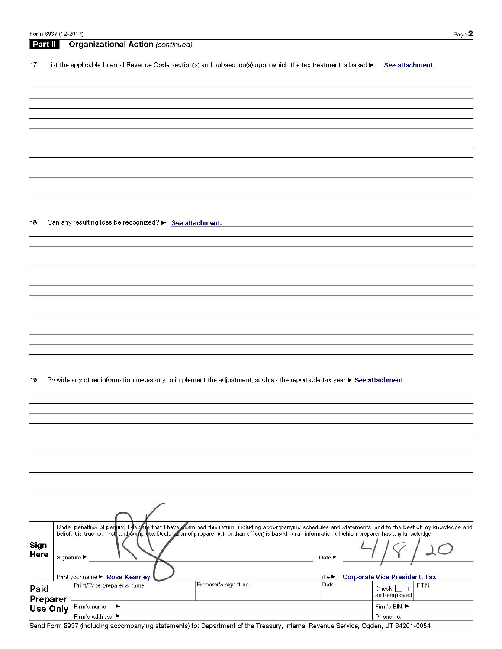|      | Part II         |             |                            |                              | <b>Organizational Action (continued)</b>                |                      |                                                                                                                                                          |                 |                                      |                              |                                                                                                                                                             |
|------|-----------------|-------------|----------------------------|------------------------------|---------------------------------------------------------|----------------------|----------------------------------------------------------------------------------------------------------------------------------------------------------|-----------------|--------------------------------------|------------------------------|-------------------------------------------------------------------------------------------------------------------------------------------------------------|
| 17   |                 |             |                            |                              |                                                         |                      | List the applicable Internal Revenue Code section(s) and subsection(s) upon which the tax treatment is based $\blacktriangleright$                       |                 |                                      | See attachment.              |                                                                                                                                                             |
|      |                 |             |                            |                              |                                                         |                      |                                                                                                                                                          |                 |                                      |                              |                                                                                                                                                             |
|      |                 |             |                            |                              |                                                         |                      |                                                                                                                                                          |                 |                                      |                              |                                                                                                                                                             |
|      |                 |             |                            |                              |                                                         |                      |                                                                                                                                                          |                 |                                      |                              |                                                                                                                                                             |
|      |                 |             |                            |                              |                                                         |                      |                                                                                                                                                          |                 |                                      |                              |                                                                                                                                                             |
|      |                 |             |                            |                              |                                                         |                      |                                                                                                                                                          |                 |                                      |                              |                                                                                                                                                             |
|      |                 |             |                            |                              |                                                         |                      |                                                                                                                                                          |                 |                                      |                              |                                                                                                                                                             |
|      |                 |             |                            |                              |                                                         |                      |                                                                                                                                                          |                 |                                      |                              |                                                                                                                                                             |
|      |                 |             |                            |                              |                                                         |                      |                                                                                                                                                          |                 |                                      |                              |                                                                                                                                                             |
|      |                 |             |                            |                              |                                                         |                      |                                                                                                                                                          |                 |                                      |                              |                                                                                                                                                             |
|      |                 |             |                            |                              |                                                         |                      |                                                                                                                                                          |                 |                                      |                              |                                                                                                                                                             |
| 18   |                 |             |                            |                              | Can any resulting loss be recognized? > See attachment. |                      |                                                                                                                                                          |                 |                                      |                              |                                                                                                                                                             |
|      |                 |             |                            |                              |                                                         |                      |                                                                                                                                                          |                 |                                      |                              |                                                                                                                                                             |
|      |                 |             |                            |                              |                                                         |                      |                                                                                                                                                          |                 |                                      |                              |                                                                                                                                                             |
|      |                 |             |                            |                              |                                                         |                      |                                                                                                                                                          |                 |                                      |                              |                                                                                                                                                             |
|      |                 |             |                            |                              |                                                         |                      |                                                                                                                                                          |                 |                                      |                              |                                                                                                                                                             |
|      |                 |             |                            |                              |                                                         |                      |                                                                                                                                                          |                 |                                      |                              |                                                                                                                                                             |
|      |                 |             |                            |                              |                                                         |                      |                                                                                                                                                          |                 |                                      |                              |                                                                                                                                                             |
|      |                 |             |                            |                              |                                                         |                      |                                                                                                                                                          |                 |                                      |                              |                                                                                                                                                             |
|      |                 |             |                            |                              |                                                         |                      |                                                                                                                                                          |                 |                                      |                              |                                                                                                                                                             |
|      |                 |             |                            |                              |                                                         |                      |                                                                                                                                                          |                 |                                      |                              |                                                                                                                                                             |
|      |                 |             |                            |                              |                                                         |                      |                                                                                                                                                          |                 |                                      |                              |                                                                                                                                                             |
|      |                 |             |                            |                              |                                                         |                      |                                                                                                                                                          |                 |                                      |                              |                                                                                                                                                             |
|      |                 |             |                            |                              |                                                         |                      |                                                                                                                                                          |                 |                                      |                              |                                                                                                                                                             |
| 19   |                 |             |                            |                              |                                                         |                      | Provide any other information necessary to implement the adjustment, such as the reportable tax year > See attachment.                                   |                 |                                      |                              |                                                                                                                                                             |
|      |                 |             |                            |                              |                                                         |                      |                                                                                                                                                          |                 |                                      |                              |                                                                                                                                                             |
|      |                 |             |                            |                              |                                                         |                      |                                                                                                                                                          |                 |                                      |                              |                                                                                                                                                             |
|      |                 |             |                            |                              |                                                         |                      |                                                                                                                                                          |                 |                                      |                              |                                                                                                                                                             |
|      |                 |             |                            |                              |                                                         |                      |                                                                                                                                                          |                 |                                      |                              |                                                                                                                                                             |
|      |                 |             |                            |                              |                                                         |                      |                                                                                                                                                          |                 |                                      |                              |                                                                                                                                                             |
|      |                 |             |                            |                              |                                                         |                      |                                                                                                                                                          |                 |                                      |                              |                                                                                                                                                             |
|      |                 |             |                            |                              |                                                         |                      |                                                                                                                                                          |                 |                                      |                              |                                                                                                                                                             |
|      |                 |             |                            |                              |                                                         |                      |                                                                                                                                                          |                 |                                      |                              |                                                                                                                                                             |
|      |                 |             |                            |                              |                                                         |                      |                                                                                                                                                          |                 |                                      |                              |                                                                                                                                                             |
|      |                 |             |                            |                              |                                                         |                      |                                                                                                                                                          |                 |                                      |                              |                                                                                                                                                             |
|      |                 |             |                            |                              |                                                         |                      |                                                                                                                                                          |                 |                                      |                              |                                                                                                                                                             |
|      |                 |             |                            |                              |                                                         |                      |                                                                                                                                                          |                 |                                      |                              | Under penalties of perury, I declare that I have examined this return, including accompanying schedules and statements, and to the best of my knowledge and |
|      |                 |             |                            |                              |                                                         |                      | belief, it is true, correct, and complete. Declaration of preparer (other than officer) is based on all information of which preparer has any knowledge. |                 |                                      |                              |                                                                                                                                                             |
| Sign |                 |             |                            |                              |                                                         |                      |                                                                                                                                                          |                 |                                      |                              |                                                                                                                                                             |
| Here |                 | Signature ▶ |                            |                              |                                                         |                      |                                                                                                                                                          | Date            |                                      |                              |                                                                                                                                                             |
|      |                 |             |                            |                              |                                                         |                      |                                                                                                                                                          |                 |                                      |                              |                                                                                                                                                             |
|      |                 |             | Print/Type preparer's name | Print your name Ross Kearney |                                                         | Preparer's signature |                                                                                                                                                          | Title ►<br>Date | <b>Corporate Vice President, Tax</b> |                              | PTIN                                                                                                                                                        |
| Paid | Preparer        |             |                            |                              |                                                         |                      |                                                                                                                                                          |                 |                                      | Check<br>if<br>self-employed |                                                                                                                                                             |
|      | <b>Use Only</b> |             | Firm's name                | ▶                            |                                                         |                      |                                                                                                                                                          |                 |                                      | Firm's EIN ▶                 |                                                                                                                                                             |
|      |                 |             | Firm's address ▶           |                              |                                                         |                      |                                                                                                                                                          |                 |                                      | Phone no.                    |                                                                                                                                                             |

Form 8937 (12-2017)

Page 2

Send Form 8937 (including accompanying statements) to: Department of the Treasury, Internal Revenue Service, Ogden, UT 84201-0054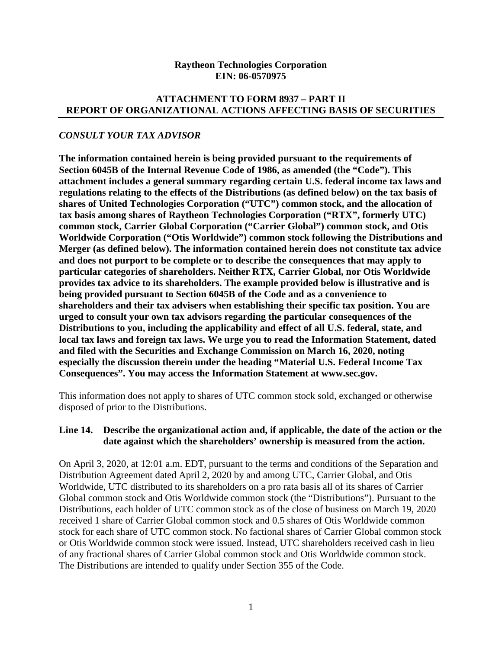#### **Raytheon Technologies Corporation EIN: 06-0570975**

## **ATTACHMENT TO FORM 8937 – PART II REPORT OF ORGANIZATIONAL ACTIONS AFFECTING BASIS OF SECURITIES**

## *CONSULT YOUR TAX ADVISOR*

**The information contained herein is being provided pursuant to the requirements of Section 6045B of the Internal Revenue Code of 1986, as amended (the "Code"). This attachment includes a general summary regarding certain U.S. federal income tax laws and regulations relating to the effects of the Distributions (as defined below) on the tax basis of shares of United Technologies Corporation ("UTC") common stock, and the allocation of tax basis among shares of Raytheon Technologies Corporation ("RTX", formerly UTC) common stock, Carrier Global Corporation ("Carrier Global") common stock, and Otis Worldwide Corporation ("Otis Worldwide") common stock following the Distributions and Merger (as defined below). The information contained herein does not constitute tax advice and does not purport to be complete or to describe the consequences that may apply to particular categories of shareholders. Neither RTX, Carrier Global, nor Otis Worldwide provides tax advice to its shareholders. The example provided below is illustrative and is being provided pursuant to Section 6045B of the Code and as a convenience to shareholders and their tax advisers when establishing their specific tax position. You are urged to consult your own tax advisors regarding the particular consequences of the Distributions to you, including the applicability and effect of all U.S. federal, state, and local tax laws and foreign tax laws. We urge you to read the Information Statement, dated and filed with the Securities and Exchange Commission on March 16, 2020, noting especially the discussion therein under the heading "Material U.S. Federal Income Tax Consequences". You may access the Information Statement at www.sec.gov.** 

This information does not apply to shares of UTC common stock sold, exchanged or otherwise disposed of prior to the Distributions.

### **Line 14. Describe the organizational action and, if applicable, the date of the action or the date against which the shareholders' ownership is measured from the action.**

On April 3, 2020, at 12:01 a.m. EDT, pursuant to the terms and conditions of the Separation and Distribution Agreement dated April 2, 2020 by and among UTC, Carrier Global, and Otis Worldwide, UTC distributed to its shareholders on a pro rata basis all of its shares of Carrier Global common stock and Otis Worldwide common stock (the "Distributions"). Pursuant to the Distributions, each holder of UTC common stock as of the close of business on March 19, 2020 received 1 share of Carrier Global common stock and 0.5 shares of Otis Worldwide common stock for each share of UTC common stock. No factional shares of Carrier Global common stock or Otis Worldwide common stock were issued. Instead, UTC shareholders received cash in lieu of any fractional shares of Carrier Global common stock and Otis Worldwide common stock. The Distributions are intended to qualify under Section 355 of the Code.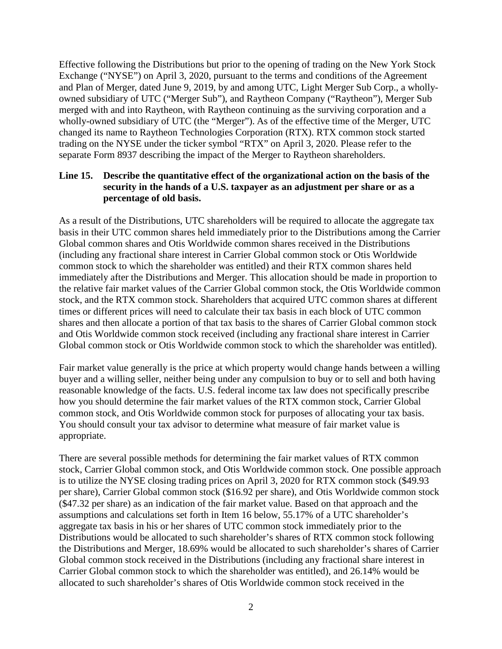Effective following the Distributions but prior to the opening of trading on the New York Stock Exchange ("NYSE") on April 3, 2020, pursuant to the terms and conditions of the Agreement and Plan of Merger, dated June 9, 2019, by and among UTC, Light Merger Sub Corp., a whollyowned subsidiary of UTC ("Merger Sub"), and Raytheon Company ("Raytheon"), Merger Sub merged with and into Raytheon, with Raytheon continuing as the surviving corporation and a wholly-owned subsidiary of UTC (the "Merger"). As of the effective time of the Merger, UTC changed its name to Raytheon Technologies Corporation (RTX). RTX common stock started trading on the NYSE under the ticker symbol "RTX" on April 3, 2020. Please refer to the separate Form 8937 describing the impact of the Merger to Raytheon shareholders.

### **Line 15. Describe the quantitative effect of the organizational action on the basis of the security in the hands of a U.S. taxpayer as an adjustment per share or as a percentage of old basis.**

As a result of the Distributions, UTC shareholders will be required to allocate the aggregate tax basis in their UTC common shares held immediately prior to the Distributions among the Carrier Global common shares and Otis Worldwide common shares received in the Distributions (including any fractional share interest in Carrier Global common stock or Otis Worldwide common stock to which the shareholder was entitled) and their RTX common shares held immediately after the Distributions and Merger. This allocation should be made in proportion to the relative fair market values of the Carrier Global common stock, the Otis Worldwide common stock, and the RTX common stock. Shareholders that acquired UTC common shares at different times or different prices will need to calculate their tax basis in each block of UTC common shares and then allocate a portion of that tax basis to the shares of Carrier Global common stock and Otis Worldwide common stock received (including any fractional share interest in Carrier Global common stock or Otis Worldwide common stock to which the shareholder was entitled).

Fair market value generally is the price at which property would change hands between a willing buyer and a willing seller, neither being under any compulsion to buy or to sell and both having reasonable knowledge of the facts. U.S. federal income tax law does not specifically prescribe how you should determine the fair market values of the RTX common stock, Carrier Global common stock, and Otis Worldwide common stock for purposes of allocating your tax basis. You should consult your tax advisor to determine what measure of fair market value is appropriate.

There are several possible methods for determining the fair market values of RTX common stock, Carrier Global common stock, and Otis Worldwide common stock. One possible approach is to utilize the NYSE closing trading prices on April 3, 2020 for RTX common stock (\$49.93 per share), Carrier Global common stock (\$16.92 per share), and Otis Worldwide common stock (\$47.32 per share) as an indication of the fair market value. Based on that approach and the assumptions and calculations set forth in Item 16 below, 55.17% of a UTC shareholder's aggregate tax basis in his or her shares of UTC common stock immediately prior to the Distributions would be allocated to such shareholder's shares of RTX common stock following the Distributions and Merger, 18.69% would be allocated to such shareholder's shares of Carrier Global common stock received in the Distributions (including any fractional share interest in Carrier Global common stock to which the shareholder was entitled), and 26.14% would be allocated to such shareholder's shares of Otis Worldwide common stock received in the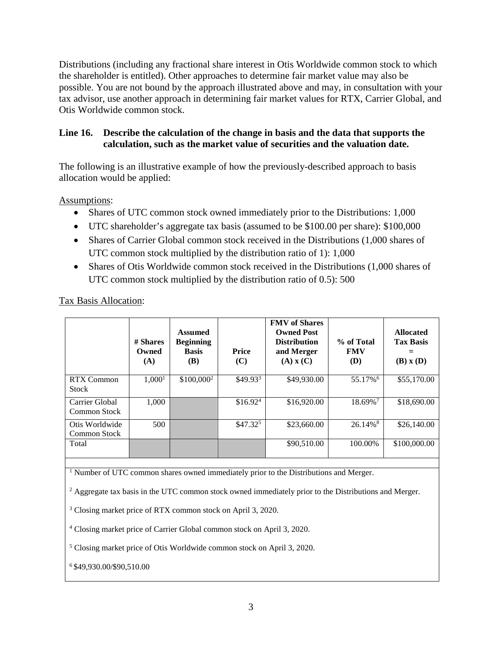Distributions (including any fractional share interest in Otis Worldwide common stock to which the shareholder is entitled). Other approaches to determine fair market value may also be possible. You are not bound by the approach illustrated above and may, in consultation with your tax advisor, use another approach in determining fair market values for RTX, Carrier Global, and Otis Worldwide common stock.

# **Line 16. Describe the calculation of the change in basis and the data that supports the calculation, such as the market value of securities and the valuation date.**

The following is an illustrative example of how the previously-described approach to basis allocation would be applied:

Assumptions:

- Shares of UTC common stock owned immediately prior to the Distributions: 1,000
- UTC shareholder's aggregate tax basis (assumed to be \$100.00 per share): \$100,000
- Shares of Carrier Global common stock received in the Distributions (1,000 shares of UTC common stock multiplied by the distribution ratio of 1): 1,000
- Shares of Otis Worldwide common stock received in the Distributions (1,000 shares of UTC common stock multiplied by the distribution ratio of 0.5): 500

|                                       | # Shares<br>Owned<br>(A) | <b>Assumed</b><br><b>Beginning</b><br><b>Basis</b><br><b>(B)</b> | Price<br>(C)         | <b>FMV</b> of Shares<br><b>Owned Post</b><br><b>Distribution</b><br>and Merger<br>$(A)$ x $(C)$ | % of Total<br><b>FMV</b><br><b>(D)</b> | <b>Allocated</b><br><b>Tax Basis</b><br>$(B)$ x $(D)$ |
|---------------------------------------|--------------------------|------------------------------------------------------------------|----------------------|-------------------------------------------------------------------------------------------------|----------------------------------------|-------------------------------------------------------|
| <b>RTX Common</b><br><b>Stock</b>     | 1,000 <sup>1</sup>       | $$100,000^2$                                                     | $$49.93^3$           | \$49,930.00                                                                                     | 55.17% <sup>6</sup>                    | \$55,170.00                                           |
| Carrier Global<br>Common Stock        | 1.000                    |                                                                  | \$16.92 <sup>4</sup> | \$16,920.00                                                                                     | 18.69% <sup>7</sup>                    | \$18,690.00                                           |
| Otis Worldwide<br><b>Common Stock</b> | 500                      |                                                                  | $$47.32^5$           | \$23,660.00                                                                                     | $26.14\%$ <sup>8</sup>                 | \$26,140.00                                           |
| Total                                 |                          |                                                                  |                      | \$90,510.00                                                                                     | 100.00%                                | \$100,000.00                                          |

Tax Basis Allocation:

<sup>1</sup> Number of UTC common shares owned immediately prior to the Distributions and Merger.

<sup>2</sup> Aggregate tax basis in the UTC common stock owned immediately prior to the Distributions and Merger.

<sup>3</sup> Closing market price of RTX common stock on April 3, 2020.

<sup>4</sup> Closing market price of Carrier Global common stock on April 3, 2020.

<sup>5</sup> Closing market price of Otis Worldwide common stock on April 3, 2020.

6 \$49,930.00/\$90,510.00